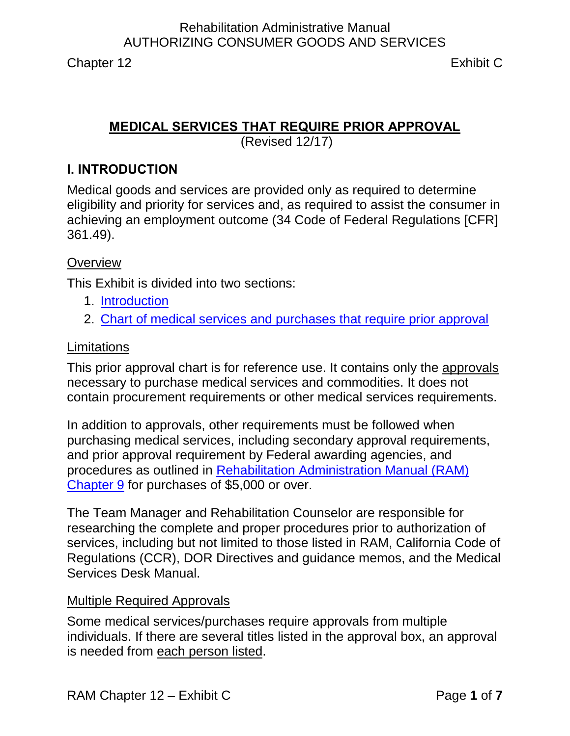# **MEDICAL SERVICES THAT REQUIRE PRIOR APPROVAL**

(Revised 12/17)

### <span id="page-0-0"></span>**I. INTRODUCTION**

Medical goods and services are provided only as required to determine eligibility and priority for services and, as required to assist the consumer in achieving an employment outcome (34 Code of Federal Regulations [CFR] 361.49).

### **Overview**

This Exhibit is divided into two sections:

- 1. [Introduction](#page-0-0)
- 2. [Chart of medical services and purchases that require prior approval](#page-2-0)

#### **Limitations**

This prior approval chart is for reference use. It contains only the approvals necessary to purchase medical services and commodities. It does not contain procurement requirements or other medical services requirements.

In addition to approvals, other requirements must be followed when purchasing medical services, including secondary approval requirements, and prior approval requirement by Federal awarding agencies, and procedures as outlined in [Rehabilitation Administration Manual \(RAM\)](http://indor/ram/ram09/ram-9-procurement)  [Chapter 9](http://indor/ram/ram09/ram-9-procurement) for purchases of \$5,000 or over.

The Team Manager and Rehabilitation Counselor are responsible for researching the complete and proper procedures prior to authorization of services, including but not limited to those listed in RAM, California Code of Regulations (CCR), DOR Directives and guidance memos, and the Medical Services Desk Manual.

#### Multiple Required Approvals

Some medical services/purchases require approvals from multiple individuals. If there are several titles listed in the approval box, an approval is needed from each person listed.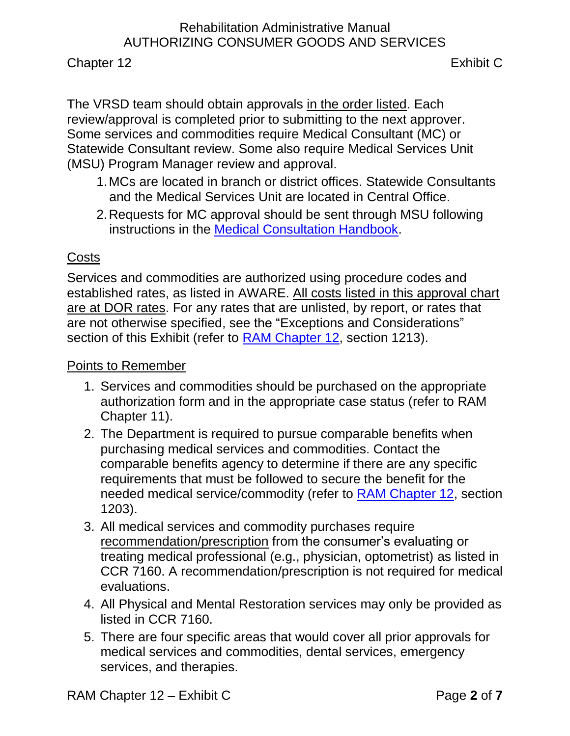Chapter 12 Exhibit C

The VRSD team should obtain approvals in the order listed. Each review/approval is completed prior to submitting to the next approver. Some services and commodities require Medical Consultant (MC) or Statewide Consultant review. Some also require Medical Services Unit (MSU) Program Manager review and approval.

- 1.MCs are located in branch or district offices. Statewide Consultants and the Medical Services Unit are located in Central Office.
- 2.Requests for MC approval should be sent through MSU following instructions in the [Medical Consultation Handbook.](file://dorgrp1/Group/Public%20Folder/Medical%20Services%20Unit/MEDICAL%20CONSULTATION/Medical%20Consultation%20handbook%20-%20field%20and%20MC%20v.1.1.pdf)

### Costs

Services and commodities are authorized using procedure codes and established rates, as listed in AWARE. All costs listed in this approval chart are at DOR rates. For any rates that are unlisted, by report, or rates that are not otherwise specified, see the "Exceptions and Considerations" section of this Exhibit (refer to [RAM Chapter 12,](http://indor/ram/ram12/ram-12-authorizing-case-services-expenditures) section 1213).

Points to Remember

- 1. Services and commodities should be purchased on the appropriate authorization form and in the appropriate case status (refer to RAM Chapter 11).
- 2. The Department is required to pursue comparable benefits when purchasing medical services and commodities. Contact the comparable benefits agency to determine if there are any specific requirements that must be followed to secure the benefit for the needed medical service/commodity (refer to [RAM Chapter 12,](http://indor/ram/ram12/ram-12-authorizing-case-services-expenditures) section 1203).
- 3. All medical services and commodity purchases require recommendation/prescription from the consumer's evaluating or treating medical professional (e.g., physician, optometrist) as listed in CCR 7160. A recommendation/prescription is not required for medical evaluations.
- 4. All Physical and Mental Restoration services may only be provided as listed in CCR 7160.
- 5. There are four specific areas that would cover all prior approvals for medical services and commodities, dental services, emergency services, and therapies.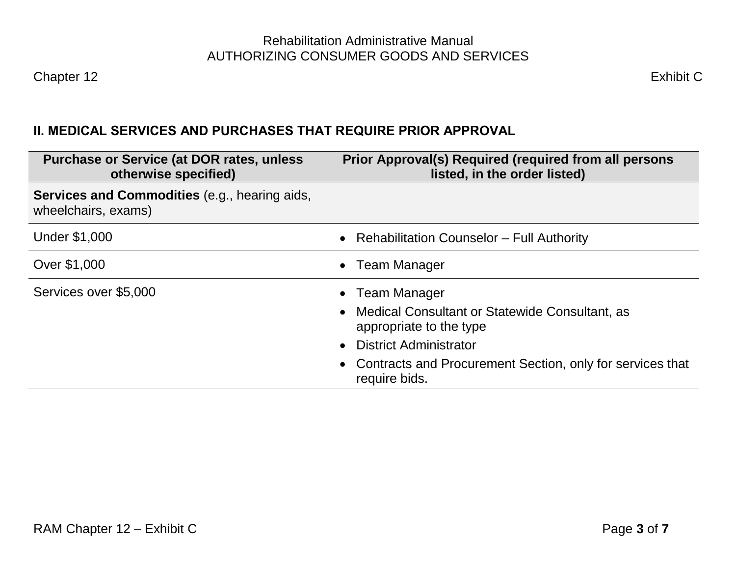# **II. MEDICAL SERVICES AND PURCHASES THAT REQUIRE PRIOR APPROVAL**

<span id="page-2-0"></span>

| <b>Purchase or Service (at DOR rates, unless</b><br>otherwise specified)    | Prior Approval(s) Required (required from all persons<br>listed, in the order listed)                                                                                                                           |
|-----------------------------------------------------------------------------|-----------------------------------------------------------------------------------------------------------------------------------------------------------------------------------------------------------------|
| <b>Services and Commodities</b> (e.g., hearing aids,<br>wheelchairs, exams) |                                                                                                                                                                                                                 |
| <b>Under \$1,000</b>                                                        | • Rehabilitation Counselor – Full Authority                                                                                                                                                                     |
| Over \$1,000                                                                | • Team Manager                                                                                                                                                                                                  |
| Services over \$5,000                                                       | <b>Team Manager</b><br>Medical Consultant or Statewide Consultant, as<br>appropriate to the type<br><b>District Administrator</b><br>Contracts and Procurement Section, only for services that<br>require bids. |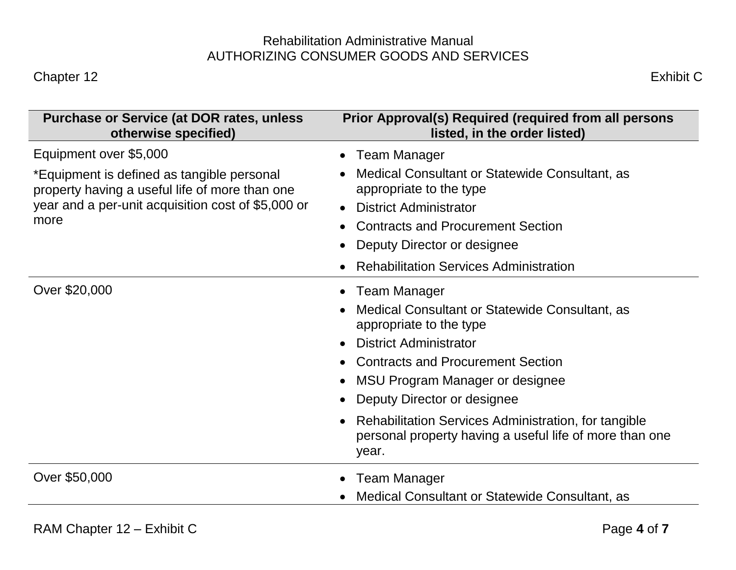| <b>Purchase or Service (at DOR rates, unless</b><br>otherwise specified)                                                                                                             | Prior Approval(s) Required (required from all persons<br>listed, in the order listed)                                                                                                                                                                                                                                                                                             |
|--------------------------------------------------------------------------------------------------------------------------------------------------------------------------------------|-----------------------------------------------------------------------------------------------------------------------------------------------------------------------------------------------------------------------------------------------------------------------------------------------------------------------------------------------------------------------------------|
| Equipment over \$5,000<br>*Equipment is defined as tangible personal<br>property having a useful life of more than one<br>year and a per-unit acquisition cost of \$5,000 or<br>more | Team Manager<br>Medical Consultant or Statewide Consultant, as<br>appropriate to the type<br><b>District Administrator</b><br><b>Contracts and Procurement Section</b><br>Deputy Director or designee<br><b>Rehabilitation Services Administration</b>                                                                                                                            |
| Over \$20,000                                                                                                                                                                        | Team Manager<br>$\bullet$<br>Medical Consultant or Statewide Consultant, as<br>appropriate to the type<br><b>District Administrator</b><br><b>Contracts and Procurement Section</b><br>MSU Program Manager or designee<br>Deputy Director or designee<br>Rehabilitation Services Administration, for tangible<br>personal property having a useful life of more than one<br>year. |
| Over \$50,000                                                                                                                                                                        | <b>Team Manager</b><br>Medical Consultant or Statewide Consultant, as                                                                                                                                                                                                                                                                                                             |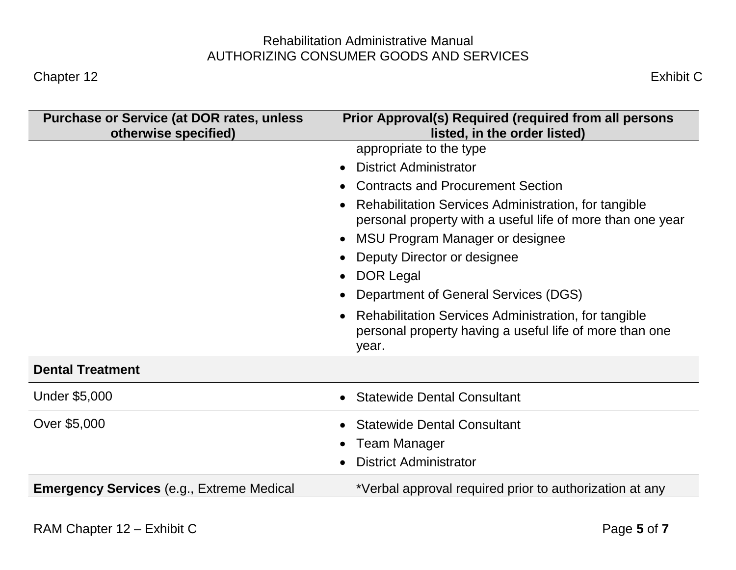| <b>Purchase or Service (at DOR rates, unless</b><br>otherwise specified) | Prior Approval(s) Required (required from all persons<br>listed, in the order listed)                                                                                                                                                                                                                                                             |
|--------------------------------------------------------------------------|---------------------------------------------------------------------------------------------------------------------------------------------------------------------------------------------------------------------------------------------------------------------------------------------------------------------------------------------------|
|                                                                          | appropriate to the type<br><b>District Administrator</b><br><b>Contracts and Procurement Section</b><br>Rehabilitation Services Administration, for tangible<br>personal property with a useful life of more than one year<br>MSU Program Manager or designee<br>Deputy Director or designee<br>DOR Legal<br>Department of General Services (DGS) |
|                                                                          | Rehabilitation Services Administration, for tangible<br>personal property having a useful life of more than one<br>year.                                                                                                                                                                                                                          |
| <b>Dental Treatment</b>                                                  |                                                                                                                                                                                                                                                                                                                                                   |
| <b>Under \$5,000</b>                                                     | <b>Statewide Dental Consultant</b>                                                                                                                                                                                                                                                                                                                |
| Over \$5,000                                                             | <b>Statewide Dental Consultant</b><br><b>Team Manager</b><br><b>District Administrator</b>                                                                                                                                                                                                                                                        |
| <b>Emergency Services</b> (e.g., Extreme Medical                         | *Verbal approval required prior to authorization at any                                                                                                                                                                                                                                                                                           |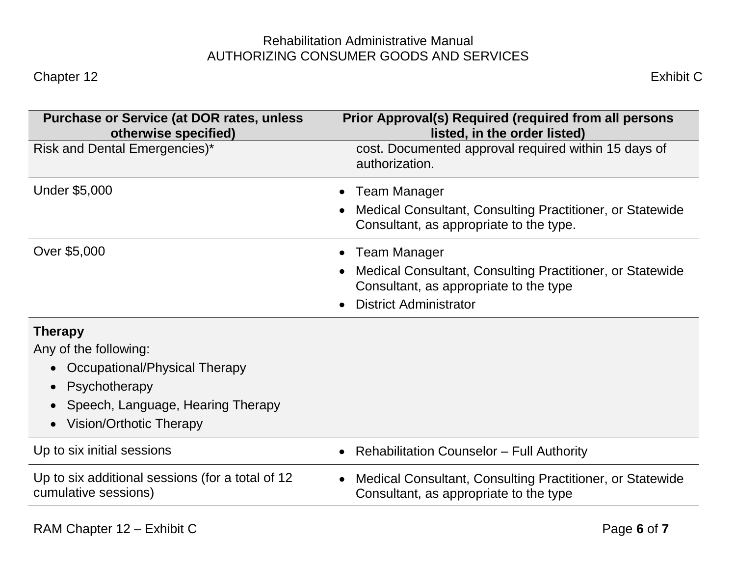| <b>Purchase or Service (at DOR rates, unless</b><br>otherwise specified) | Prior Approval(s) Required (required from all persons<br>listed, in the order listed)                |
|--------------------------------------------------------------------------|------------------------------------------------------------------------------------------------------|
| Risk and Dental Emergencies)*                                            | cost. Documented approval required within 15 days of<br>authorization.                               |
| <b>Under \$5,000</b>                                                     | <b>Team Manager</b>                                                                                  |
|                                                                          | Medical Consultant, Consulting Practitioner, or Statewide<br>Consultant, as appropriate to the type. |
| Over \$5,000                                                             | <b>Team Manager</b>                                                                                  |
|                                                                          | Medical Consultant, Consulting Practitioner, or Statewide<br>Consultant, as appropriate to the type  |
|                                                                          | <b>District Administrator</b>                                                                        |
| <b>Therapy</b>                                                           |                                                                                                      |
| Any of the following:                                                    |                                                                                                      |
| Occupational/Physical Therapy<br>$\bullet$                               |                                                                                                      |
| Psychotherapy<br>$\bullet$                                               |                                                                                                      |
| Speech, Language, Hearing Therapy                                        |                                                                                                      |
| <b>Vision/Orthotic Therapy</b><br>$\bullet$                              |                                                                                                      |
| Up to six initial sessions                                               | <b>Rehabilitation Counselor - Full Authority</b>                                                     |
| Up to six additional sessions (for a total of 12<br>cumulative sessions) | Medical Consultant, Consulting Practitioner, or Statewide<br>Consultant, as appropriate to the type  |